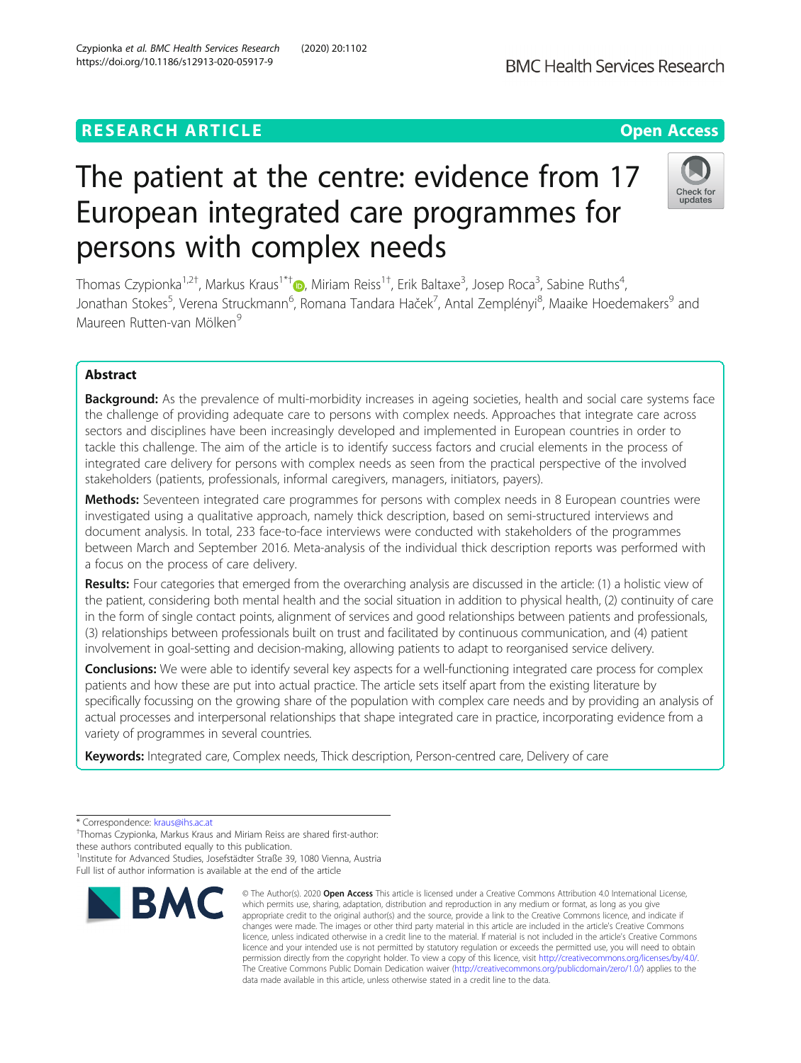# **RESEARCH ARTICLE Example 2014 12:30 The Contract of Contract ACCESS**

# The patient at the centre: evidence from 17 European integrated care programmes for persons with complex needs

Thomas Czypionka<sup>1[,](http://orcid.org/0000-0001-5358-4773)2†</sup>, Markus Kraus<sup>1\*†</sup>®, Miriam Reiss<sup>1†</sup>, Erik Baltaxe<sup>3</sup>, Josep Roca<sup>3</sup>, Sabine Ruths<sup>4</sup> , Jonathan Stokes<sup>5</sup>, Verena Struckmann<sup>6</sup>, Romana Tandara Haček<sup>7</sup>, Antal Zemplényi<sup>8</sup>, Maaike Hoedemakers<sup>9</sup> and Maureen Rutten-van Mölken<sup>9</sup>

## Abstract

Background: As the prevalence of multi-morbidity increases in ageing societies, health and social care systems face the challenge of providing adequate care to persons with complex needs. Approaches that integrate care across sectors and disciplines have been increasingly developed and implemented in European countries in order to tackle this challenge. The aim of the article is to identify success factors and crucial elements in the process of integrated care delivery for persons with complex needs as seen from the practical perspective of the involved stakeholders (patients, professionals, informal caregivers, managers, initiators, payers).

Methods: Seventeen integrated care programmes for persons with complex needs in 8 European countries were investigated using a qualitative approach, namely thick description, based on semi-structured interviews and document analysis. In total, 233 face-to-face interviews were conducted with stakeholders of the programmes between March and September 2016. Meta-analysis of the individual thick description reports was performed with a focus on the process of care delivery.

Results: Four categories that emerged from the overarching analysis are discussed in the article: (1) a holistic view of the patient, considering both mental health and the social situation in addition to physical health, (2) continuity of care in the form of single contact points, alignment of services and good relationships between patients and professionals, (3) relationships between professionals built on trust and facilitated by continuous communication, and (4) patient involvement in goal-setting and decision-making, allowing patients to adapt to reorganised service delivery.

**Conclusions:** We were able to identify several key aspects for a well-functioning integrated care process for complex patients and how these are put into actual practice. The article sets itself apart from the existing literature by specifically focussing on the growing share of the population with complex care needs and by providing an analysis of actual processes and interpersonal relationships that shape integrated care in practice, incorporating evidence from a variety of programmes in several countries.

Keywords: Integrated care, Complex needs, Thick description, Person-centred care, Delivery of care

these authors contributed equally to this publication.

**RMC** 

1 Institute for Advanced Studies, Josefstädter Straße 39, 1080 Vienna, Austria

Full list of author information is available at the end of the article



© The Author(s), 2020 **Open Access** This article is licensed under a Creative Commons Attribution 4.0 International License, which permits use, sharing, adaptation, distribution and reproduction in any medium or format, as long as you give





<sup>\*</sup> Correspondence: [kraus@ihs.ac.at](mailto:kraus@ihs.ac.at) †

Thomas Czypionka, Markus Kraus and Miriam Reiss are shared first-author: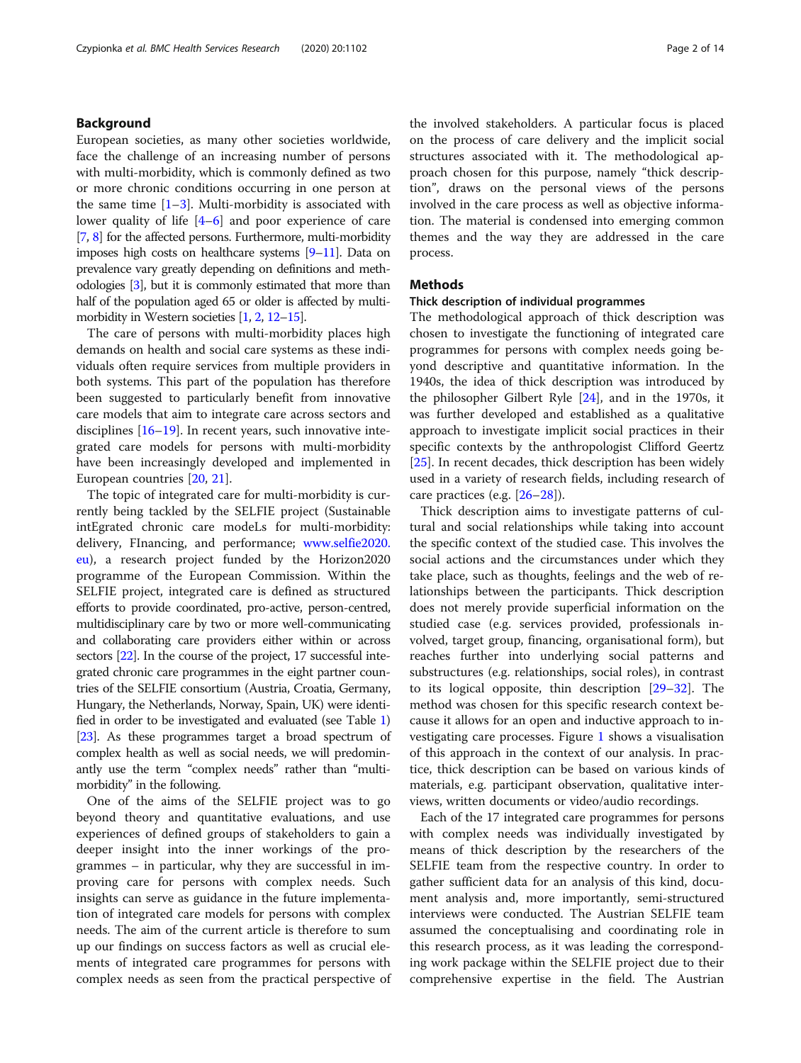#### Background

European societies, as many other societies worldwide, face the challenge of an increasing number of persons with multi-morbidity, which is commonly defined as two or more chronic conditions occurring in one person at the same time  $[1-3]$  $[1-3]$  $[1-3]$  $[1-3]$ . Multi-morbidity is associated with lower quality of life [[4](#page-11-0)–[6](#page-11-0)] and poor experience of care [[7](#page-11-0), [8\]](#page-11-0) for the affected persons. Furthermore, multi-morbidity imposes high costs on healthcare systems [[9](#page-11-0)–[11](#page-12-0)]. Data on prevalence vary greatly depending on definitions and methodologies [\[3\]](#page-11-0), but it is commonly estimated that more than half of the population aged 65 or older is affected by multi-morbidity in Western societies [\[1,](#page-11-0) [2](#page-11-0), [12](#page-12-0)–[15](#page-12-0)].

The care of persons with multi-morbidity places high demands on health and social care systems as these individuals often require services from multiple providers in both systems. This part of the population has therefore been suggested to particularly benefit from innovative care models that aim to integrate care across sectors and disciplines [\[16](#page-12-0)–[19\]](#page-12-0). In recent years, such innovative integrated care models for persons with multi-morbidity have been increasingly developed and implemented in European countries [[20](#page-12-0), [21](#page-12-0)].

The topic of integrated care for multi-morbidity is currently being tackled by the SELFIE project (Sustainable intEgrated chronic care modeLs for multi-morbidity: delivery, FInancing, and performance; [www.selfie2020.](http://www.selfie2020.eu) [eu](http://www.selfie2020.eu)), a research project funded by the Horizon2020 programme of the European Commission. Within the SELFIE project, integrated care is defined as structured efforts to provide coordinated, pro-active, person-centred, multidisciplinary care by two or more well-communicating and collaborating care providers either within or across sectors [\[22\]](#page-12-0). In the course of the project, 17 successful integrated chronic care programmes in the eight partner countries of the SELFIE consortium (Austria, Croatia, Germany, Hungary, the Netherlands, Norway, Spain, UK) were identified in order to be investigated and evaluated (see Table [1](#page-2-0)) [[23](#page-12-0)]. As these programmes target a broad spectrum of complex health as well as social needs, we will predominantly use the term "complex needs" rather than "multimorbidity" in the following.

One of the aims of the SELFIE project was to go beyond theory and quantitative evaluations, and use experiences of defined groups of stakeholders to gain a deeper insight into the inner workings of the programmes – in particular, why they are successful in improving care for persons with complex needs. Such insights can serve as guidance in the future implementation of integrated care models for persons with complex needs. The aim of the current article is therefore to sum up our findings on success factors as well as crucial elements of integrated care programmes for persons with complex needs as seen from the practical perspective of the involved stakeholders. A particular focus is placed on the process of care delivery and the implicit social structures associated with it. The methodological approach chosen for this purpose, namely "thick description", draws on the personal views of the persons involved in the care process as well as objective information. The material is condensed into emerging common themes and the way they are addressed in the care process.

#### **Methods**

#### Thick description of individual programmes

The methodological approach of thick description was chosen to investigate the functioning of integrated care programmes for persons with complex needs going beyond descriptive and quantitative information. In the 1940s, the idea of thick description was introduced by the philosopher Gilbert Ryle [\[24](#page-12-0)], and in the 1970s, it was further developed and established as a qualitative approach to investigate implicit social practices in their specific contexts by the anthropologist Clifford Geertz [[25\]](#page-12-0). In recent decades, thick description has been widely used in a variety of research fields, including research of care practices (e.g. [\[26](#page-12-0)–[28\]](#page-12-0)).

Thick description aims to investigate patterns of cultural and social relationships while taking into account the specific context of the studied case. This involves the social actions and the circumstances under which they take place, such as thoughts, feelings and the web of relationships between the participants. Thick description does not merely provide superficial information on the studied case (e.g. services provided, professionals involved, target group, financing, organisational form), but reaches further into underlying social patterns and substructures (e.g. relationships, social roles), in contrast to its logical opposite, thin description [[29](#page-12-0)–[32](#page-12-0)]. The method was chosen for this specific research context because it allows for an open and inductive approach to investigating care processes. Figure [1](#page-3-0) shows a visualisation of this approach in the context of our analysis. In practice, thick description can be based on various kinds of materials, e.g. participant observation, qualitative interviews, written documents or video/audio recordings.

Each of the 17 integrated care programmes for persons with complex needs was individually investigated by means of thick description by the researchers of the SELFIE team from the respective country. In order to gather sufficient data for an analysis of this kind, document analysis and, more importantly, semi-structured interviews were conducted. The Austrian SELFIE team assumed the conceptualising and coordinating role in this research process, as it was leading the corresponding work package within the SELFIE project due to their comprehensive expertise in the field. The Austrian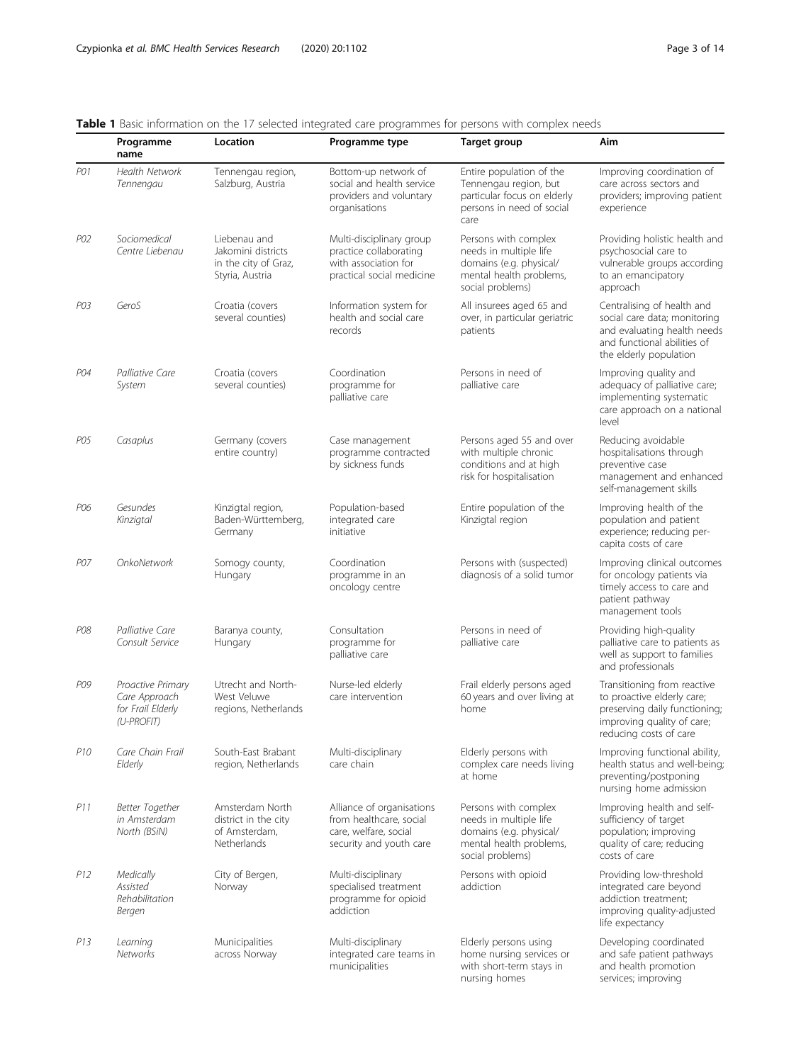|     | Programme<br>name                                                     | Location                                                                      | Programme type                                                                                           | Target group                                                                                                             | Aim                                                                                                                                                |
|-----|-----------------------------------------------------------------------|-------------------------------------------------------------------------------|----------------------------------------------------------------------------------------------------------|--------------------------------------------------------------------------------------------------------------------------|----------------------------------------------------------------------------------------------------------------------------------------------------|
| P01 | <b>Health Network</b><br>Tennengau                                    | Tennengau region,<br>Salzburg, Austria                                        | Bottom-up network of<br>social and health service<br>providers and voluntary<br>organisations            | Entire population of the<br>Tennengau region, but<br>particular focus on elderly<br>persons in need of social<br>care    | Improving coordination of<br>care across sectors and<br>providers; improving patient<br>experience                                                 |
| P02 | Sociomedical<br>Centre Liebenau                                       | Liebenau and<br>Jakomini districts<br>in the city of Graz,<br>Styria, Austria | Multi-disciplinary group<br>practice collaborating<br>with association for<br>practical social medicine  | Persons with complex<br>needs in multiple life<br>domains (e.g. physical/<br>mental health problems,<br>social problems) | Providing holistic health and<br>psychosocial care to<br>vulnerable groups according<br>to an emancipatory<br>approach                             |
| P03 | GeroS                                                                 | Croatia (covers<br>several counties)                                          | Information system for<br>health and social care<br>records                                              | All insurees aged 65 and<br>over, in particular geriatric<br>patients                                                    | Centralising of health and<br>social care data; monitoring<br>and evaluating health needs<br>and functional abilities of<br>the elderly population |
| P04 | Palliative Care<br>System                                             | Croatia (covers<br>several counties)                                          | Coordination<br>programme for<br>palliative care                                                         | Persons in need of<br>palliative care                                                                                    | Improving quality and<br>adequacy of palliative care;<br>implementing systematic<br>care approach on a national<br>level                           |
| P05 | Casaplus                                                              | Germany (covers<br>entire country)                                            | Case management<br>programme contracted<br>by sickness funds                                             | Persons aged 55 and over<br>with multiple chronic<br>conditions and at high<br>risk for hospitalisation                  | Reducing avoidable<br>hospitalisations through<br>preventive case<br>management and enhanced<br>self-management skills                             |
| P06 | Gesundes<br>Kinzigtal                                                 | Kinzigtal region,<br>Baden-Württemberg,<br>Germany                            | Population-based<br>integrated care<br>initiative                                                        | Entire population of the<br>Kinzigtal region                                                                             | Improving health of the<br>population and patient<br>experience; reducing per-<br>capita costs of care                                             |
| P07 | OnkoNetwork                                                           | Somogy county,<br>Hungary                                                     | Coordination<br>programme in an<br>oncology centre                                                       | Persons with (suspected)<br>diagnosis of a solid tumor                                                                   | Improving clinical outcomes<br>for oncology patients via<br>timely access to care and<br>patient pathway<br>management tools                       |
| P08 | Palliative Care<br>Consult Service                                    | Baranya county,<br>Hungary                                                    | Consultation<br>programme for<br>palliative care                                                         | Persons in need of<br>palliative care                                                                                    | Providing high-quality<br>palliative care to patients as<br>well as support to families<br>and professionals                                       |
| P09 | Proactive Primary<br>Care Approach<br>for Frail Elderly<br>(U-PROFIT) | Utrecht and North-<br>West Veluwe<br>regions, Netherlands                     | Nurse-led elderly<br>care intervention                                                                   | Frail elderly persons aged<br>60 years and over living at<br>home                                                        | Transitioning from reactive<br>to proactive elderly care;<br>preserving daily functioning;<br>improving quality of care;<br>reducing costs of care |
| P10 | Care Chain Frail<br>Elderly                                           | South-East Brabant<br>region, Netherlands                                     | Multi-disciplinary<br>care chain                                                                         | Elderly persons with<br>complex care needs living<br>at home                                                             | Improving functional ability,<br>health status and well-being;<br>preventing/postponing<br>nursing home admission                                  |
| P11 | Better Together<br>in Amsterdam<br>North (BSiN)                       | Amsterdam North<br>district in the city<br>of Amsterdam,<br>Netherlands       | Alliance of organisations<br>from healthcare, social<br>care, welfare, social<br>security and youth care | Persons with complex<br>needs in multiple life<br>domains (e.g. physical/<br>mental health problems,<br>social problems) | Improving health and self-<br>sufficiency of target<br>population; improving<br>quality of care; reducing<br>costs of care                         |
| P12 | Medically<br>Assisted<br>Rehabilitation<br>Bergen                     | City of Bergen,<br>Norway                                                     | Multi-disciplinary<br>specialised treatment<br>programme for opioid<br>addiction                         | Persons with opioid<br>addiction                                                                                         | Providing low-threshold<br>integrated care beyond<br>addiction treatment;<br>improving quality-adjusted<br>life expectancy                         |
| P13 | Learning<br>Networks                                                  | Municipalities<br>across Norway                                               | Multi-disciplinary<br>integrated care teams in<br>municipalities                                         | Elderly persons using<br>home nursing services or<br>with short-term stays in<br>nursing homes                           | Developing coordinated<br>and safe patient pathways<br>and health promotion<br>services; improving                                                 |

# <span id="page-2-0"></span>Table 1 Basic information on the 17 selected integrated care programmes for persons with complex needs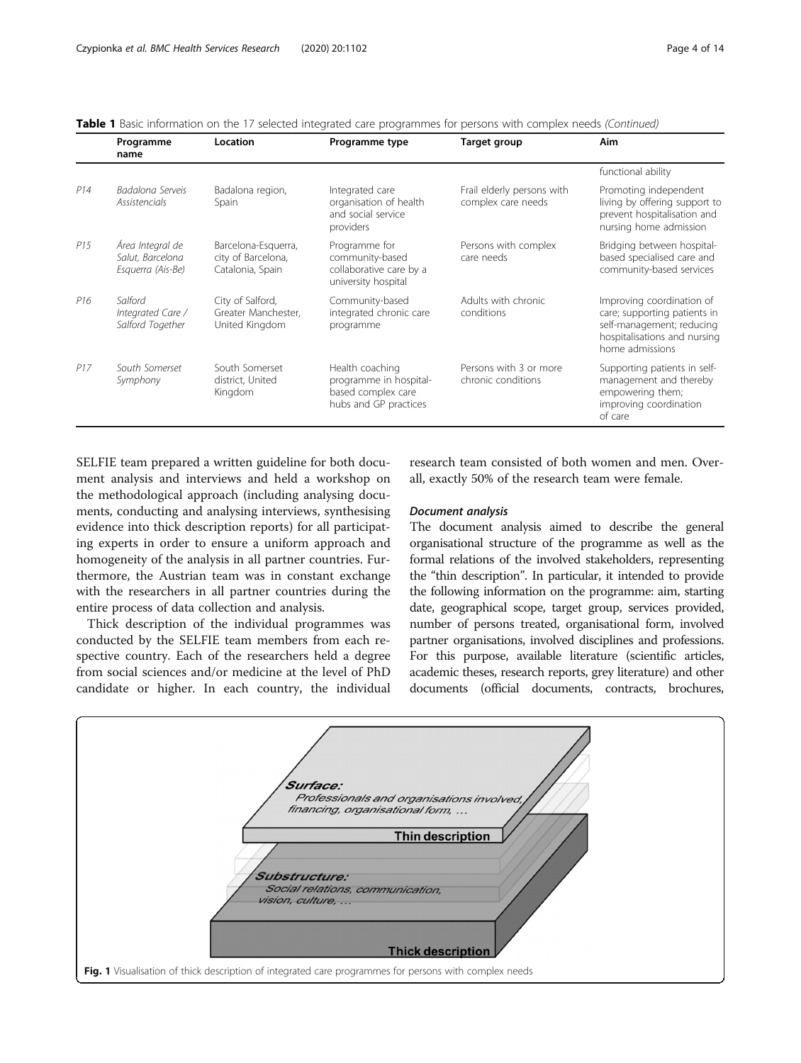|                 | Programme<br>name                                         | Location                                                      | Programme type                                                                           | Target group                                     | Aim                                                                                                                                       |
|-----------------|-----------------------------------------------------------|---------------------------------------------------------------|------------------------------------------------------------------------------------------|--------------------------------------------------|-------------------------------------------------------------------------------------------------------------------------------------------|
|                 |                                                           |                                                               |                                                                                          |                                                  | functional ability                                                                                                                        |
| P14             | Badalona Serveis<br>Assistencials                         | Badalona region,<br>Spain                                     | Integrated care<br>organisation of health<br>and social service<br>providers             | Frail elderly persons with<br>complex care needs | Promoting independent<br>living by offering support to<br>prevent hospitalisation and<br>nursing home admission                           |
| P15             | Área Integral de<br>Salut, Barcelona<br>Esquerra (Ais-Be) | Barcelona-Esquerra,<br>city of Barcelona,<br>Catalonia, Spain | Programme for<br>community-based<br>collaborative care by a<br>university hospital       | Persons with complex<br>care needs               | Bridging between hospital-<br>based specialised care and<br>community-based services                                                      |
| P <sub>16</sub> | Salford<br>Integrated Care /<br>Salford Together          | City of Salford,<br>Greater Manchester,<br>United Kingdom     | Community-based<br>integrated chronic care<br>programme                                  | Adults with chronic<br>conditions                | Improving coordination of<br>care; supporting patients in<br>self-management; reducing<br>hospitalisations and nursing<br>home admissions |
| P17             | South Somerset<br>Symphony                                | South Somerset<br>district, United<br>Kingdom                 | Health coaching<br>programme in hospital-<br>based complex care<br>hubs and GP practices | Persons with 3 or more<br>chronic conditions     | Supporting patients in self-<br>management and thereby<br>empowering them;<br>improving coordination<br>of care                           |

<span id="page-3-0"></span>Table 1 Basic information on the 17 selected integrated care programmes for persons with complex needs (Continued)

SELFIE team prepared a written guideline for both document analysis and interviews and held a workshop on the methodological approach (including analysing documents, conducting and analysing interviews, synthesising evidence into thick description reports) for all participating experts in order to ensure a uniform approach and homogeneity of the analysis in all partner countries. Furthermore, the Austrian team was in constant exchange with the researchers in all partner countries during the entire process of data collection and analysis.

Thick description of the individual programmes was conducted by the SELFIE team members from each respective country. Each of the researchers held a degree from social sciences and/or medicine at the level of PhD candidate or higher. In each country, the individual research team consisted of both women and men. Overall, exactly 50% of the research team were female.

#### Document analysis

The document analysis aimed to describe the general organisational structure of the programme as well as the formal relations of the involved stakeholders, representing the "thin description". In particular, it intended to provide the following information on the programme: aim, starting date, geographical scope, target group, services provided, number of persons treated, organisational form, involved partner organisations, involved disciplines and professions. For this purpose, available literature (scientific articles, academic theses, research reports, grey literature) and other documents (official documents, contracts, brochures,

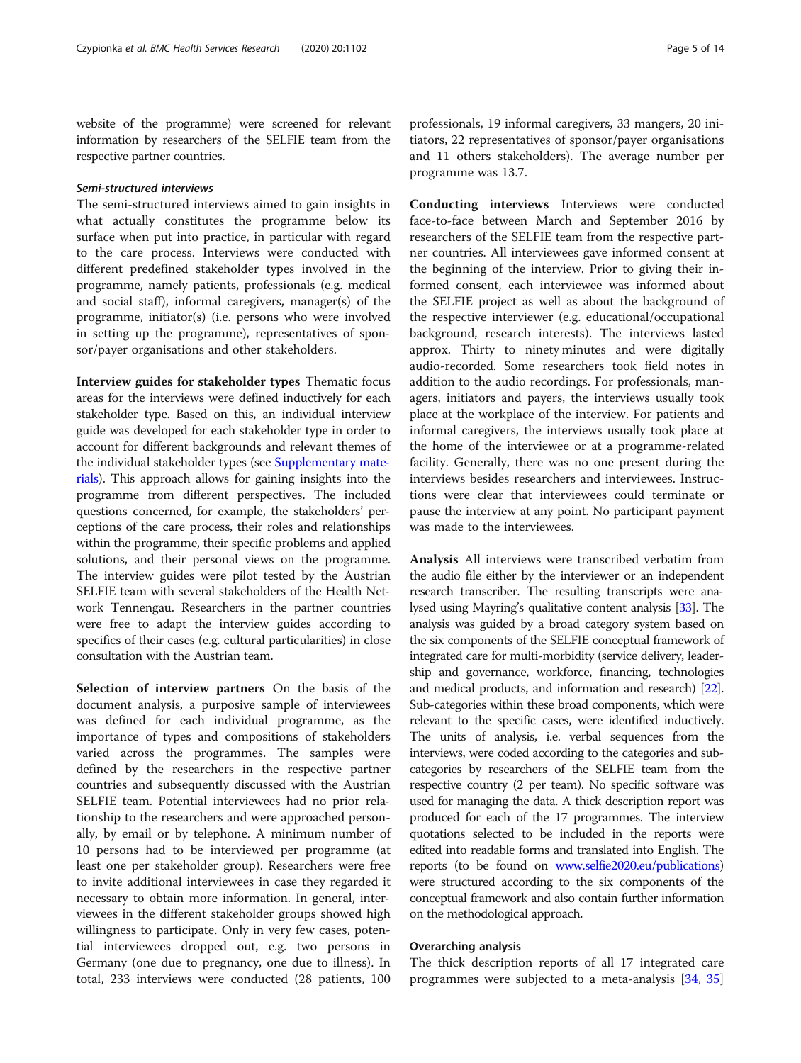website of the programme) were screened for relevant information by researchers of the SELFIE team from the respective partner countries.

#### Semi-structured interviews

The semi-structured interviews aimed to gain insights in what actually constitutes the programme below its surface when put into practice, in particular with regard to the care process. Interviews were conducted with different predefined stakeholder types involved in the programme, namely patients, professionals (e.g. medical and social staff), informal caregivers, manager(s) of the programme, initiator(s) (i.e. persons who were involved in setting up the programme), representatives of sponsor/payer organisations and other stakeholders.

Interview guides for stakeholder types Thematic focus areas for the interviews were defined inductively for each stakeholder type. Based on this, an individual interview guide was developed for each stakeholder type in order to account for different backgrounds and relevant themes of the individual stakeholder types (see [Supplementary mate](#page-10-0)[rials](#page-10-0)). This approach allows for gaining insights into the programme from different perspectives. The included questions concerned, for example, the stakeholders' perceptions of the care process, their roles and relationships within the programme, their specific problems and applied solutions, and their personal views on the programme. The interview guides were pilot tested by the Austrian SELFIE team with several stakeholders of the Health Network Tennengau. Researchers in the partner countries were free to adapt the interview guides according to specifics of their cases (e.g. cultural particularities) in close consultation with the Austrian team.

Selection of interview partners On the basis of the document analysis, a purposive sample of interviewees was defined for each individual programme, as the importance of types and compositions of stakeholders varied across the programmes. The samples were defined by the researchers in the respective partner countries and subsequently discussed with the Austrian SELFIE team. Potential interviewees had no prior relationship to the researchers and were approached personally, by email or by telephone. A minimum number of 10 persons had to be interviewed per programme (at least one per stakeholder group). Researchers were free to invite additional interviewees in case they regarded it necessary to obtain more information. In general, interviewees in the different stakeholder groups showed high willingness to participate. Only in very few cases, potential interviewees dropped out, e.g. two persons in Germany (one due to pregnancy, one due to illness). In total, 233 interviews were conducted (28 patients, 100

professionals, 19 informal caregivers, 33 mangers, 20 initiators, 22 representatives of sponsor/payer organisations and 11 others stakeholders). The average number per programme was 13.7.

Conducting interviews Interviews were conducted face-to-face between March and September 2016 by researchers of the SELFIE team from the respective partner countries. All interviewees gave informed consent at the beginning of the interview. Prior to giving their informed consent, each interviewee was informed about the SELFIE project as well as about the background of the respective interviewer (e.g. educational/occupational background, research interests). The interviews lasted approx. Thirty to ninety minutes and were digitally audio-recorded. Some researchers took field notes in addition to the audio recordings. For professionals, managers, initiators and payers, the interviews usually took place at the workplace of the interview. For patients and informal caregivers, the interviews usually took place at the home of the interviewee or at a programme-related facility. Generally, there was no one present during the interviews besides researchers and interviewees. Instructions were clear that interviewees could terminate or pause the interview at any point. No participant payment was made to the interviewees.

Analysis All interviews were transcribed verbatim from the audio file either by the interviewer or an independent research transcriber. The resulting transcripts were analysed using Mayring's qualitative content analysis [\[33\]](#page-12-0). The analysis was guided by a broad category system based on the six components of the SELFIE conceptual framework of integrated care for multi-morbidity (service delivery, leadership and governance, workforce, financing, technologies and medical products, and information and research) [\[22](#page-12-0)]. Sub-categories within these broad components, which were relevant to the specific cases, were identified inductively. The units of analysis, i.e. verbal sequences from the interviews, were coded according to the categories and subcategories by researchers of the SELFIE team from the respective country (2 per team). No specific software was used for managing the data. A thick description report was produced for each of the 17 programmes. The interview quotations selected to be included in the reports were edited into readable forms and translated into English. The reports (to be found on [www.selfie2020.eu/publications](http://www.selfie2020.eu/publications)) were structured according to the six components of the conceptual framework and also contain further information on the methodological approach.

#### Overarching analysis

The thick description reports of all 17 integrated care programmes were subjected to a meta-analysis [\[34](#page-12-0), [35](#page-12-0)]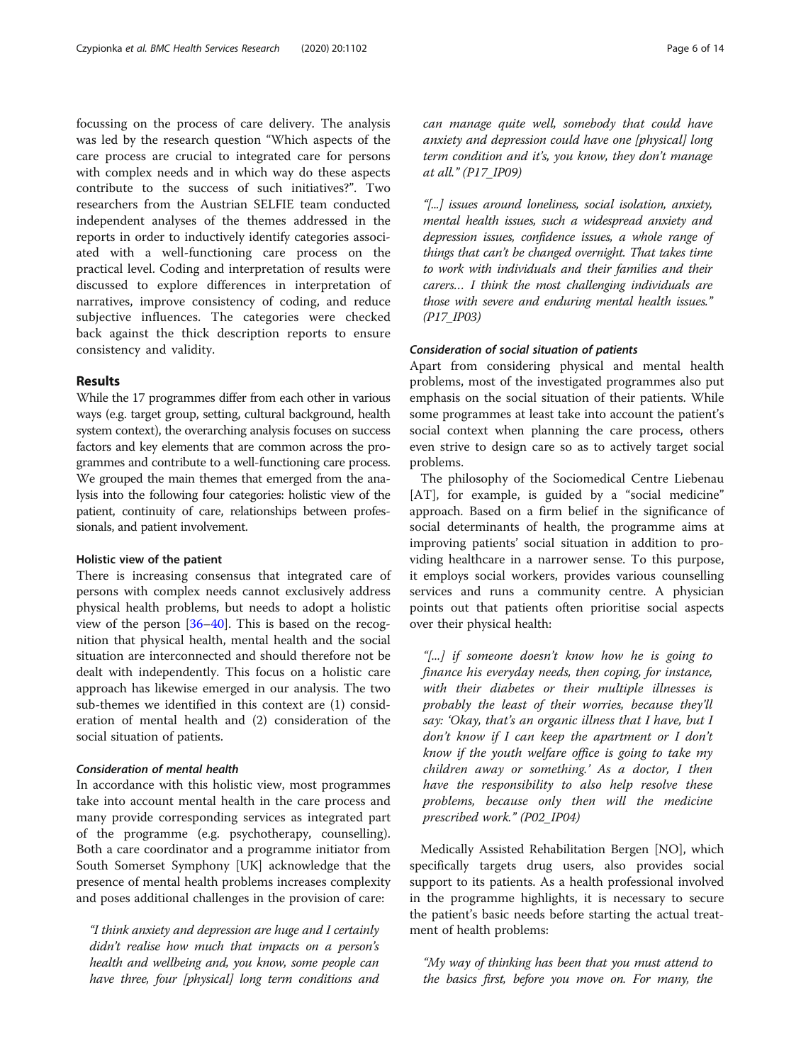focussing on the process of care delivery. The analysis was led by the research question "Which aspects of the care process are crucial to integrated care for persons with complex needs and in which way do these aspects contribute to the success of such initiatives?". Two researchers from the Austrian SELFIE team conducted independent analyses of the themes addressed in the reports in order to inductively identify categories associated with a well-functioning care process on the practical level. Coding and interpretation of results were discussed to explore differences in interpretation of narratives, improve consistency of coding, and reduce subjective influences. The categories were checked back against the thick description reports to ensure consistency and validity.

#### Results

While the 17 programmes differ from each other in various ways (e.g. target group, setting, cultural background, health system context), the overarching analysis focuses on success factors and key elements that are common across the programmes and contribute to a well-functioning care process. We grouped the main themes that emerged from the analysis into the following four categories: holistic view of the patient, continuity of care, relationships between professionals, and patient involvement.

#### Holistic view of the patient

There is increasing consensus that integrated care of persons with complex needs cannot exclusively address physical health problems, but needs to adopt a holistic view of the person [\[36](#page-12-0)–[40\]](#page-12-0). This is based on the recognition that physical health, mental health and the social situation are interconnected and should therefore not be dealt with independently. This focus on a holistic care approach has likewise emerged in our analysis. The two sub-themes we identified in this context are (1) consideration of mental health and (2) consideration of the social situation of patients.

#### Consideration of mental health

In accordance with this holistic view, most programmes take into account mental health in the care process and many provide corresponding services as integrated part of the programme (e.g. psychotherapy, counselling). Both a care coordinator and a programme initiator from South Somerset Symphony [UK] acknowledge that the presence of mental health problems increases complexity and poses additional challenges in the provision of care:

"I think anxiety and depression are huge and I certainly didn't realise how much that impacts on a person's health and wellbeing and, you know, some people can have three, four [physical] long term conditions and

can manage quite well, somebody that could have anxiety and depression could have one [physical] long term condition and it's, you know, they don't manage at all." (P17\_IP09)

"[...] issues around loneliness, social isolation, anxiety, mental health issues, such a widespread anxiety and depression issues, confidence issues, a whole range of things that can't be changed overnight. That takes time to work with individuals and their families and their carers… I think the most challenging individuals are those with severe and enduring mental health issues." (P17\_IP03)

#### Consideration of social situation of patients

Apart from considering physical and mental health problems, most of the investigated programmes also put emphasis on the social situation of their patients. While some programmes at least take into account the patient's social context when planning the care process, others even strive to design care so as to actively target social problems.

The philosophy of the Sociomedical Centre Liebenau [AT], for example, is guided by a "social medicine" approach. Based on a firm belief in the significance of social determinants of health, the programme aims at improving patients' social situation in addition to providing healthcare in a narrower sense. To this purpose, it employs social workers, provides various counselling services and runs a community centre. A physician points out that patients often prioritise social aspects over their physical health:

"[...] if someone doesn't know how he is going to finance his everyday needs, then coping, for instance, with their diabetes or their multiple illnesses is probably the least of their worries, because they'll say: 'Okay, that's an organic illness that I have, but I don't know if I can keep the apartment or I don't know if the youth welfare office is going to take my children away or something.' As a doctor, I then have the responsibility to also help resolve these problems, because only then will the medicine prescribed work." (P02\_IP04)

Medically Assisted Rehabilitation Bergen [NO], which specifically targets drug users, also provides social support to its patients. As a health professional involved in the programme highlights, it is necessary to secure the patient's basic needs before starting the actual treatment of health problems:

"My way of thinking has been that you must attend to the basics first, before you move on. For many, the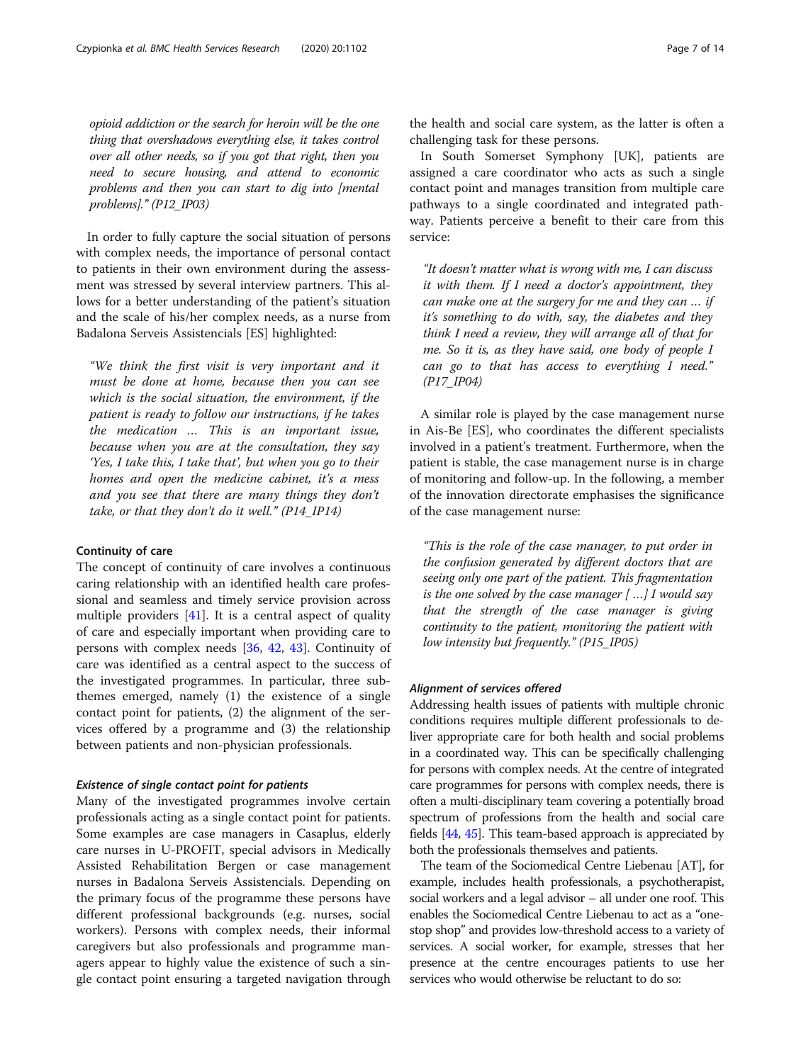opioid addiction or the search for heroin will be the one thing that overshadows everything else, it takes control over all other needs, so if you got that right, then you need to secure housing, and attend to economic problems and then you can start to dig into [mental problems]." (P12\_IP03)

In order to fully capture the social situation of persons with complex needs, the importance of personal contact to patients in their own environment during the assessment was stressed by several interview partners. This allows for a better understanding of the patient's situation and the scale of his/her complex needs, as a nurse from Badalona Serveis Assistencials [ES] highlighted:

"We think the first visit is very important and it must be done at home, because then you can see which is the social situation, the environment, if the patient is ready to follow our instructions, if he takes the medication … This is an important issue, because when you are at the consultation, they say 'Yes, I take this, I take that', but when you go to their homes and open the medicine cabinet, it's a mess and you see that there are many things they don't take, or that they don't do it well."  $(PI4_IPI4)$ 

#### Continuity of care

The concept of continuity of care involves a continuous caring relationship with an identified health care professional and seamless and timely service provision across multiple providers [\[41](#page-12-0)]. It is a central aspect of quality of care and especially important when providing care to persons with complex needs [\[36](#page-12-0), [42](#page-12-0), [43](#page-12-0)]. Continuity of care was identified as a central aspect to the success of the investigated programmes. In particular, three subthemes emerged, namely (1) the existence of a single contact point for patients, (2) the alignment of the services offered by a programme and (3) the relationship between patients and non-physician professionals.

#### Existence of single contact point for patients

Many of the investigated programmes involve certain professionals acting as a single contact point for patients. Some examples are case managers in Casaplus, elderly care nurses in U-PROFIT, special advisors in Medically Assisted Rehabilitation Bergen or case management nurses in Badalona Serveis Assistencials. Depending on the primary focus of the programme these persons have different professional backgrounds (e.g. nurses, social workers). Persons with complex needs, their informal caregivers but also professionals and programme managers appear to highly value the existence of such a single contact point ensuring a targeted navigation through the health and social care system, as the latter is often a challenging task for these persons.

In South Somerset Symphony [UK], patients are assigned a care coordinator who acts as such a single contact point and manages transition from multiple care pathways to a single coordinated and integrated pathway. Patients perceive a benefit to their care from this service:

"It doesn't matter what is wrong with me, I can discuss it with them. If I need a doctor's appointment, they can make one at the surgery for me and they can … if it's something to do with, say, the diabetes and they think I need a review, they will arrange all of that for me. So it is, as they have said, one body of people I can go to that has access to everything I need." (P17\_IP04)

A similar role is played by the case management nurse in Ais-Be [ES], who coordinates the different specialists involved in a patient's treatment. Furthermore, when the patient is stable, the case management nurse is in charge of monitoring and follow-up. In the following, a member of the innovation directorate emphasises the significance of the case management nurse:

"This is the role of the case manager, to put order in the confusion generated by different doctors that are seeing only one part of the patient. This fragmentation is the one solved by the case manager  $[$  ... $]$  I would say that the strength of the case manager is giving continuity to the patient, monitoring the patient with low intensity but frequently." (P15\_IP05)

#### Alignment of services offered

Addressing health issues of patients with multiple chronic conditions requires multiple different professionals to deliver appropriate care for both health and social problems in a coordinated way. This can be specifically challenging for persons with complex needs. At the centre of integrated care programmes for persons with complex needs, there is often a multi-disciplinary team covering a potentially broad spectrum of professions from the health and social care fields [\[44,](#page-12-0) [45](#page-12-0)]. This team-based approach is appreciated by both the professionals themselves and patients.

The team of the Sociomedical Centre Liebenau [AT], for example, includes health professionals, a psychotherapist, social workers and a legal advisor – all under one roof. This enables the Sociomedical Centre Liebenau to act as a "onestop shop" and provides low-threshold access to a variety of services. A social worker, for example, stresses that her presence at the centre encourages patients to use her services who would otherwise be reluctant to do so: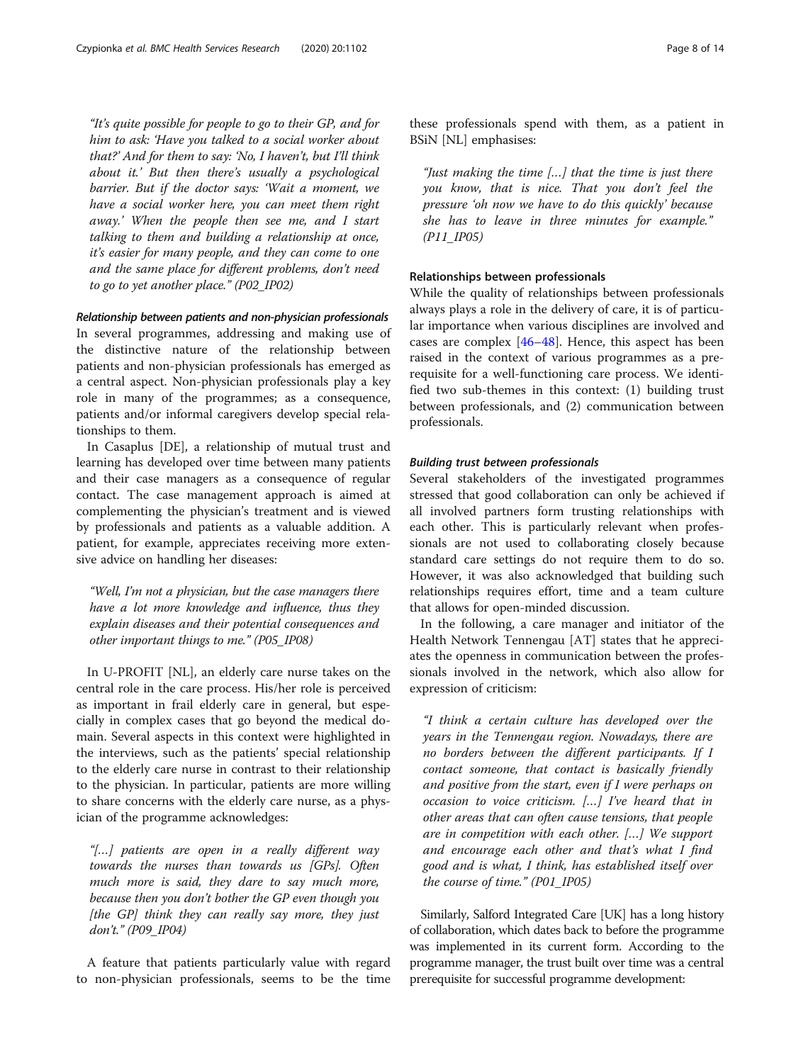"It's quite possible for people to go to their GP, and for him to ask: 'Have you talked to a social worker about that?' And for them to say: 'No, I haven't, but I'll think about it.' But then there's usually a psychological barrier. But if the doctor says: 'Wait a moment, we have a social worker here, you can meet them right away.' When the people then see me, and I start talking to them and building a relationship at once, it's easier for many people, and they can come to one and the same place for different problems, don't need to go to yet another place." (P02\_IP02)

#### Relationship between patients and non-physician professionals

In several programmes, addressing and making use of the distinctive nature of the relationship between patients and non-physician professionals has emerged as a central aspect. Non-physician professionals play a key role in many of the programmes; as a consequence, patients and/or informal caregivers develop special relationships to them.

In Casaplus [DE], a relationship of mutual trust and learning has developed over time between many patients and their case managers as a consequence of regular contact. The case management approach is aimed at complementing the physician's treatment and is viewed by professionals and patients as a valuable addition. A patient, for example, appreciates receiving more extensive advice on handling her diseases:

"Well, I'm not a physician, but the case managers there have a lot more knowledge and influence, thus they explain diseases and their potential consequences and other important things to me." (P05\_IP08)

In U-PROFIT [NL], an elderly care nurse takes on the central role in the care process. His/her role is perceived as important in frail elderly care in general, but especially in complex cases that go beyond the medical domain. Several aspects in this context were highlighted in the interviews, such as the patients' special relationship to the elderly care nurse in contrast to their relationship to the physician. In particular, patients are more willing to share concerns with the elderly care nurse, as a physician of the programme acknowledges:

"[…] patients are open in a really different way towards the nurses than towards us [GPs]. Often much more is said, they dare to say much more, because then you don't bother the GP even though you [the GP] think they can really say more, they just don't." (P09\_IP04)

A feature that patients particularly value with regard to non-physician professionals, seems to be the time these professionals spend with them, as a patient in BSiN [NL] emphasises:

"Just making the time […] that the time is just there you know, that is nice. That you don't feel the pressure 'oh now we have to do this quickly' because she has to leave in three minutes for example." (P11\_IP05)

#### Relationships between professionals

While the quality of relationships between professionals always plays a role in the delivery of care, it is of particular importance when various disciplines are involved and cases are complex [\[46](#page-12-0)–[48\]](#page-12-0). Hence, this aspect has been raised in the context of various programmes as a prerequisite for a well-functioning care process. We identified two sub-themes in this context: (1) building trust between professionals, and (2) communication between professionals.

#### Building trust between professionals

Several stakeholders of the investigated programmes stressed that good collaboration can only be achieved if all involved partners form trusting relationships with each other. This is particularly relevant when professionals are not used to collaborating closely because standard care settings do not require them to do so. However, it was also acknowledged that building such relationships requires effort, time and a team culture that allows for open-minded discussion.

In the following, a care manager and initiator of the Health Network Tennengau [AT] states that he appreciates the openness in communication between the professionals involved in the network, which also allow for expression of criticism:

"I think a certain culture has developed over the years in the Tennengau region. Nowadays, there are no borders between the different participants. If I contact someone, that contact is basically friendly and positive from the start, even if I were perhaps on occasion to voice criticism. […] I've heard that in other areas that can often cause tensions, that people are in competition with each other. […] We support and encourage each other and that's what I find good and is what, I think, has established itself over the course of time." (P01\_IP05)

Similarly, Salford Integrated Care [UK] has a long history of collaboration, which dates back to before the programme was implemented in its current form. According to the programme manager, the trust built over time was a central prerequisite for successful programme development: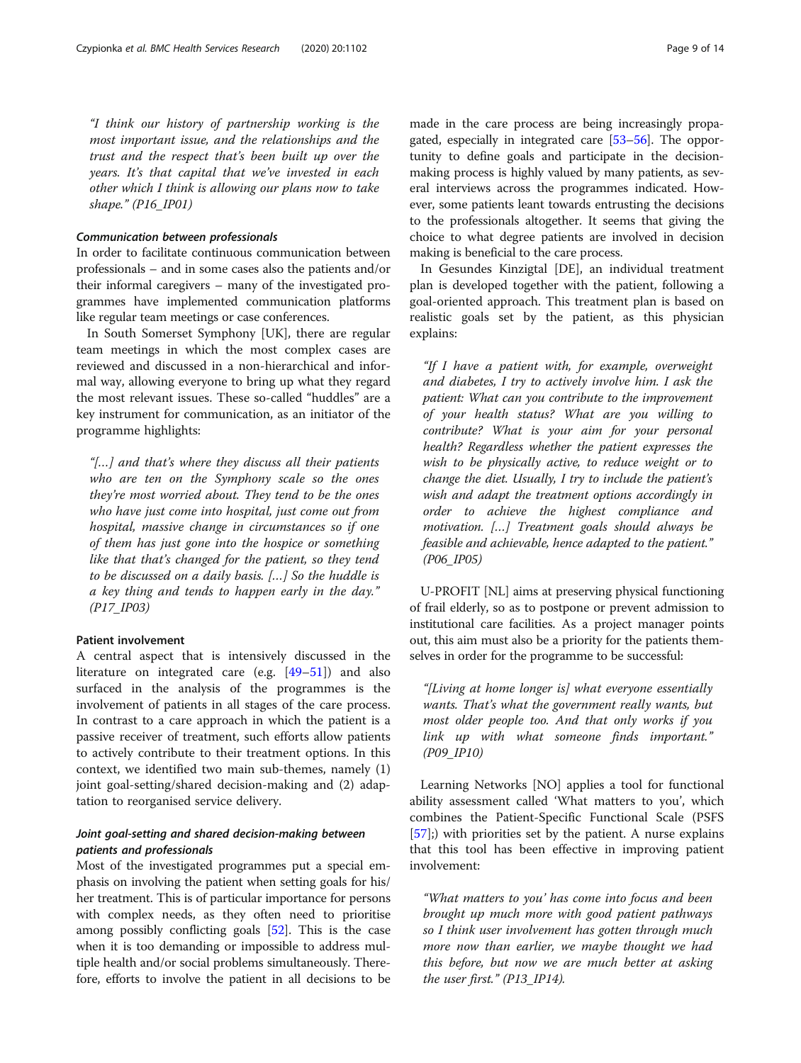"I think our history of partnership working is the most important issue, and the relationships and the trust and the respect that's been built up over the years. It's that capital that we've invested in each other which I think is allowing our plans now to take shape." (P16\_IP01)

#### Communication between professionals

In order to facilitate continuous communication between professionals – and in some cases also the patients and/or their informal caregivers – many of the investigated programmes have implemented communication platforms like regular team meetings or case conferences.

In South Somerset Symphony [UK], there are regular team meetings in which the most complex cases are reviewed and discussed in a non-hierarchical and informal way, allowing everyone to bring up what they regard the most relevant issues. These so-called "huddles" are a key instrument for communication, as an initiator of the programme highlights:

"[…] and that's where they discuss all their patients who are ten on the Symphony scale so the ones they're most worried about. They tend to be the ones who have just come into hospital, just come out from hospital, massive change in circumstances so if one of them has just gone into the hospice or something like that that's changed for the patient, so they tend to be discussed on a daily basis. […] So the huddle is a key thing and tends to happen early in the day." (P17\_IP03)

#### Patient involvement

A central aspect that is intensively discussed in the literature on integrated care (e.g. [[49](#page-12-0)–[51](#page-12-0)]) and also surfaced in the analysis of the programmes is the involvement of patients in all stages of the care process. In contrast to a care approach in which the patient is a passive receiver of treatment, such efforts allow patients to actively contribute to their treatment options. In this context, we identified two main sub-themes, namely (1) joint goal-setting/shared decision-making and (2) adaptation to reorganised service delivery.

### Joint goal-setting and shared decision-making between patients and professionals

Most of the investigated programmes put a special emphasis on involving the patient when setting goals for his/ her treatment. This is of particular importance for persons with complex needs, as they often need to prioritise among possibly conflicting goals [[52](#page-12-0)]. This is the case when it is too demanding or impossible to address multiple health and/or social problems simultaneously. Therefore, efforts to involve the patient in all decisions to be made in the care process are being increasingly propagated, especially in integrated care [\[53](#page-12-0)–[56](#page-12-0)]. The opportunity to define goals and participate in the decisionmaking process is highly valued by many patients, as several interviews across the programmes indicated. However, some patients leant towards entrusting the decisions to the professionals altogether. It seems that giving the choice to what degree patients are involved in decision making is beneficial to the care process.

In Gesundes Kinzigtal [DE], an individual treatment plan is developed together with the patient, following a goal-oriented approach. This treatment plan is based on realistic goals set by the patient, as this physician explains:

"If I have a patient with, for example, overweight and diabetes, I try to actively involve him. I ask the patient: What can you contribute to the improvement of your health status? What are you willing to contribute? What is your aim for your personal health? Regardless whether the patient expresses the wish to be physically active, to reduce weight or to change the diet. Usually, I try to include the patient's wish and adapt the treatment options accordingly in order to achieve the highest compliance and motivation. […] Treatment goals should always be feasible and achievable, hence adapted to the patient." (P06\_IP05)

U-PROFIT [NL] aims at preserving physical functioning of frail elderly, so as to postpone or prevent admission to institutional care facilities. As a project manager points out, this aim must also be a priority for the patients themselves in order for the programme to be successful:

"[Living at home longer is] what everyone essentially wants. That's what the government really wants, but most older people too. And that only works if you link up with what someone finds important." (P09\_IP10)

Learning Networks [NO] applies a tool for functional ability assessment called 'What matters to you', which combines the Patient-Specific Functional Scale (PSFS [[57\]](#page-12-0);) with priorities set by the patient. A nurse explains that this tool has been effective in improving patient involvement:

"What matters to you' has come into focus and been brought up much more with good patient pathways so I think user involvement has gotten through much more now than earlier, we maybe thought we had this before, but now we are much better at asking the user first." (P13\_IP14).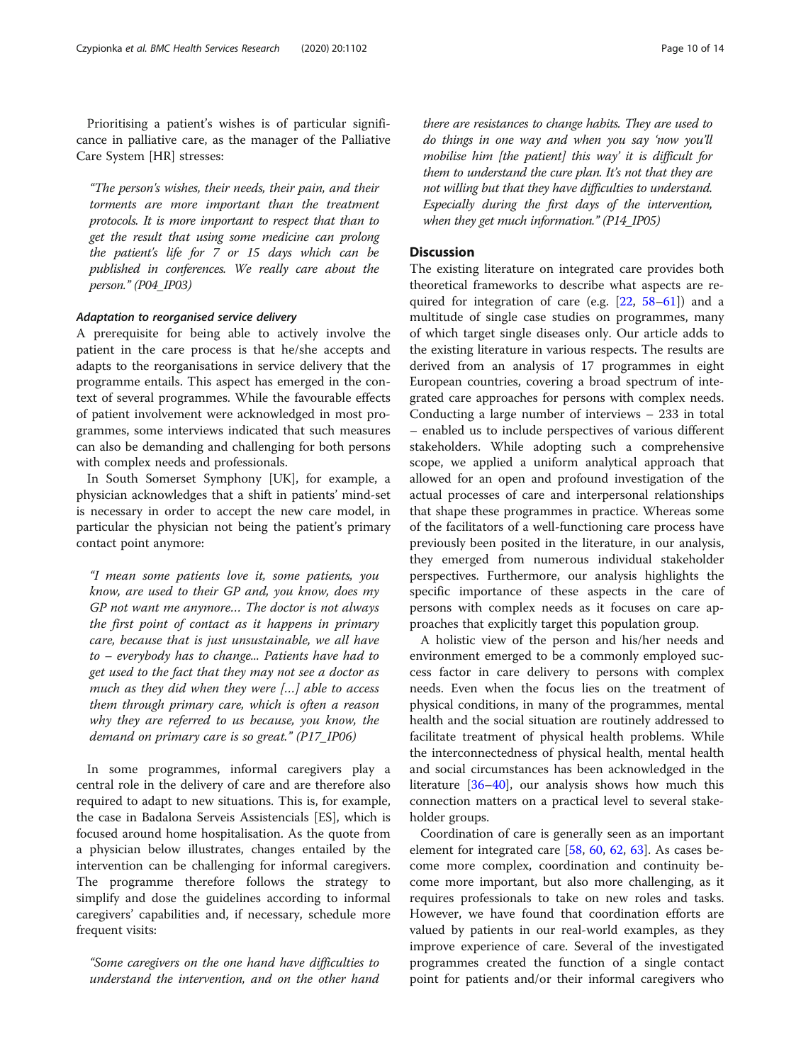Prioritising a patient's wishes is of particular significance in palliative care, as the manager of the Palliative Care System [HR] stresses:

"The person's wishes, their needs, their pain, and their torments are more important than the treatment protocols. It is more important to respect that than to get the result that using some medicine can prolong the patient's life for 7 or 15 days which can be published in conferences. We really care about the person." (P04\_IP03)

#### Adaptation to reorganised service delivery

A prerequisite for being able to actively involve the patient in the care process is that he/she accepts and adapts to the reorganisations in service delivery that the programme entails. This aspect has emerged in the context of several programmes. While the favourable effects of patient involvement were acknowledged in most programmes, some interviews indicated that such measures can also be demanding and challenging for both persons with complex needs and professionals.

In South Somerset Symphony [UK], for example, a physician acknowledges that a shift in patients' mind-set is necessary in order to accept the new care model, in particular the physician not being the patient's primary contact point anymore:

"I mean some patients love it, some patients, you know, are used to their GP and, you know, does my GP not want me anymore… The doctor is not always the first point of contact as it happens in primary care, because that is just unsustainable, we all have to – everybody has to change... Patients have had to get used to the fact that they may not see a doctor as much as they did when they were […] able to access them through primary care, which is often a reason why they are referred to us because, you know, the demand on primary care is so great." (P17\_IP06)

In some programmes, informal caregivers play a central role in the delivery of care and are therefore also required to adapt to new situations. This is, for example, the case in Badalona Serveis Assistencials [ES], which is focused around home hospitalisation. As the quote from a physician below illustrates, changes entailed by the intervention can be challenging for informal caregivers. The programme therefore follows the strategy to simplify and dose the guidelines according to informal caregivers' capabilities and, if necessary, schedule more frequent visits:

"Some caregivers on the one hand have difficulties to understand the intervention, and on the other hand there are resistances to change habits. They are used to do things in one way and when you say 'now you'll mobilise him [the patient] this way' it is difficult for them to understand the cure plan. It's not that they are not willing but that they have difficulties to understand. Especially during the first days of the intervention, when they get much information." (P14\_IP05)

#### **Discussion**

The existing literature on integrated care provides both theoretical frameworks to describe what aspects are required for integration of care (e.g. [[22,](#page-12-0) [58](#page-12-0)–[61](#page-12-0)]) and a multitude of single case studies on programmes, many of which target single diseases only. Our article adds to the existing literature in various respects. The results are derived from an analysis of 17 programmes in eight European countries, covering a broad spectrum of integrated care approaches for persons with complex needs. Conducting a large number of interviews – 233 in total – enabled us to include perspectives of various different stakeholders. While adopting such a comprehensive scope, we applied a uniform analytical approach that allowed for an open and profound investigation of the actual processes of care and interpersonal relationships that shape these programmes in practice. Whereas some of the facilitators of a well-functioning care process have previously been posited in the literature, in our analysis, they emerged from numerous individual stakeholder perspectives. Furthermore, our analysis highlights the specific importance of these aspects in the care of persons with complex needs as it focuses on care approaches that explicitly target this population group.

A holistic view of the person and his/her needs and environment emerged to be a commonly employed success factor in care delivery to persons with complex needs. Even when the focus lies on the treatment of physical conditions, in many of the programmes, mental health and the social situation are routinely addressed to facilitate treatment of physical health problems. While the interconnectedness of physical health, mental health and social circumstances has been acknowledged in the literature [\[36](#page-12-0)–[40](#page-12-0)], our analysis shows how much this connection matters on a practical level to several stakeholder groups.

Coordination of care is generally seen as an important element for integrated care [\[58](#page-12-0), [60](#page-12-0), [62,](#page-12-0) [63\]](#page-12-0). As cases become more complex, coordination and continuity become more important, but also more challenging, as it requires professionals to take on new roles and tasks. However, we have found that coordination efforts are valued by patients in our real-world examples, as they improve experience of care. Several of the investigated programmes created the function of a single contact point for patients and/or their informal caregivers who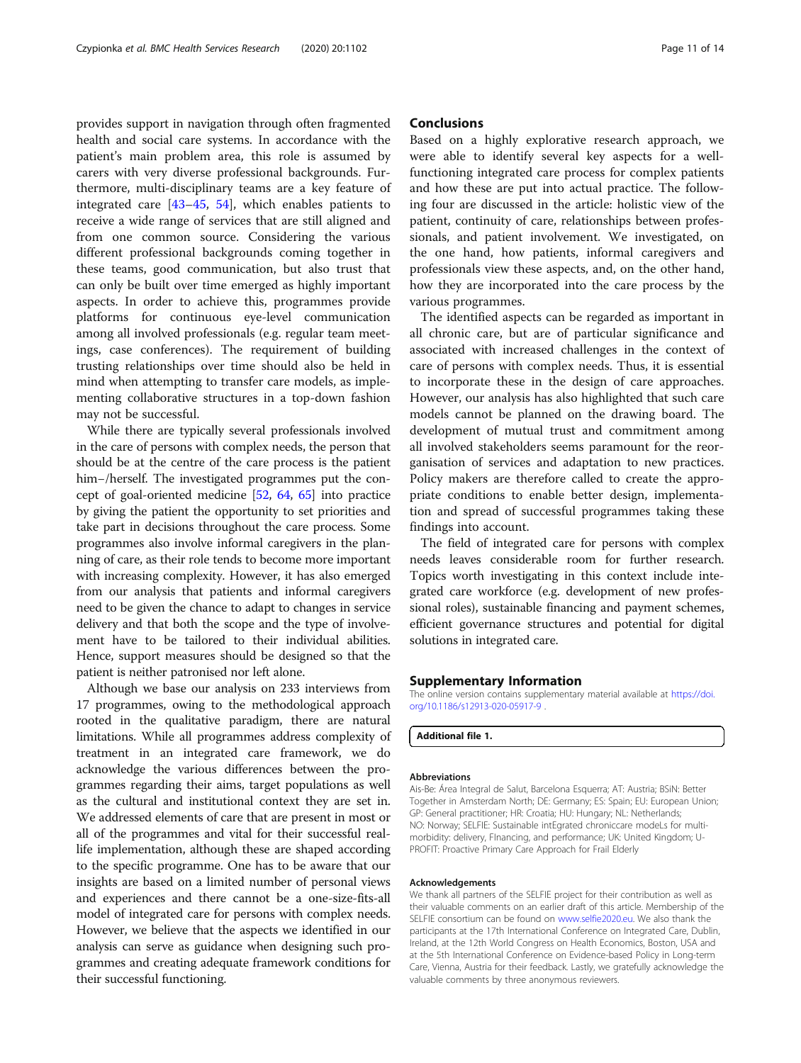<span id="page-10-0"></span>provides support in navigation through often fragmented health and social care systems. In accordance with the patient's main problem area, this role is assumed by carers with very diverse professional backgrounds. Furthermore, multi-disciplinary teams are a key feature of integrated care [[43](#page-12-0)–[45](#page-12-0), [54](#page-12-0)], which enables patients to receive a wide range of services that are still aligned and from one common source. Considering the various different professional backgrounds coming together in these teams, good communication, but also trust that can only be built over time emerged as highly important aspects. In order to achieve this, programmes provide platforms for continuous eye-level communication among all involved professionals (e.g. regular team meetings, case conferences). The requirement of building trusting relationships over time should also be held in mind when attempting to transfer care models, as implementing collaborative structures in a top-down fashion may not be successful.

While there are typically several professionals involved in the care of persons with complex needs, the person that should be at the centre of the care process is the patient him−/herself. The investigated programmes put the concept of goal-oriented medicine [\[52](#page-12-0), [64,](#page-13-0) [65\]](#page-13-0) into practice by giving the patient the opportunity to set priorities and take part in decisions throughout the care process. Some programmes also involve informal caregivers in the planning of care, as their role tends to become more important with increasing complexity. However, it has also emerged from our analysis that patients and informal caregivers need to be given the chance to adapt to changes in service delivery and that both the scope and the type of involvement have to be tailored to their individual abilities. Hence, support measures should be designed so that the patient is neither patronised nor left alone.

Although we base our analysis on 233 interviews from 17 programmes, owing to the methodological approach rooted in the qualitative paradigm, there are natural limitations. While all programmes address complexity of treatment in an integrated care framework, we do acknowledge the various differences between the programmes regarding their aims, target populations as well as the cultural and institutional context they are set in. We addressed elements of care that are present in most or all of the programmes and vital for their successful reallife implementation, although these are shaped according to the specific programme. One has to be aware that our insights are based on a limited number of personal views and experiences and there cannot be a one-size-fits-all model of integrated care for persons with complex needs. However, we believe that the aspects we identified in our analysis can serve as guidance when designing such programmes and creating adequate framework conditions for their successful functioning.

#### **Conclusions**

Based on a highly explorative research approach, we were able to identify several key aspects for a wellfunctioning integrated care process for complex patients and how these are put into actual practice. The following four are discussed in the article: holistic view of the patient, continuity of care, relationships between professionals, and patient involvement. We investigated, on the one hand, how patients, informal caregivers and professionals view these aspects, and, on the other hand, how they are incorporated into the care process by the various programmes.

The identified aspects can be regarded as important in all chronic care, but are of particular significance and associated with increased challenges in the context of care of persons with complex needs. Thus, it is essential to incorporate these in the design of care approaches. However, our analysis has also highlighted that such care models cannot be planned on the drawing board. The development of mutual trust and commitment among all involved stakeholders seems paramount for the reorganisation of services and adaptation to new practices. Policy makers are therefore called to create the appropriate conditions to enable better design, implementation and spread of successful programmes taking these findings into account.

The field of integrated care for persons with complex needs leaves considerable room for further research. Topics worth investigating in this context include integrated care workforce (e.g. development of new professional roles), sustainable financing and payment schemes, efficient governance structures and potential for digital solutions in integrated care.

#### Supplementary Information

The online version contains supplementary material available at https://doi. org/10.1186/s12913-020-05917-9 .

Additional file 1.

#### Abbreviations

Ais-Be: Área Integral de Salut, Barcelona Esquerra; AT: Austria; BSiN: Better Together in Amsterdam North; DE: Germany; ES: Spain; EU: European Union; GP: General practitioner; HR: Croatia; HU: Hungary; NL: Netherlands; NO: Norway; SELFIE: Sustainable intEgrated chroniccare modeLs for multimorbidity: delivery, FInancing, and performance; UK: United Kingdom; U-PROFIT: Proactive Primary Care Approach for Frail Elderly

#### Acknowledgements

We thank all partners of the SELFIE project for their contribution as well as their valuable comments on an earlier draft of this article. Membership of the SELFIE consortium can be found on [www.selfie2020.eu.](http://www.selfie2020.eu) We also thank the participants at the 17th International Conference on Integrated Care, Dublin, Ireland, at the 12th World Congress on Health Economics, Boston, USA and at the 5th International Conference on Evidence-based Policy in Long-term Care, Vienna, Austria for their feedback. Lastly, we gratefully acknowledge the valuable comments by three anonymous reviewers.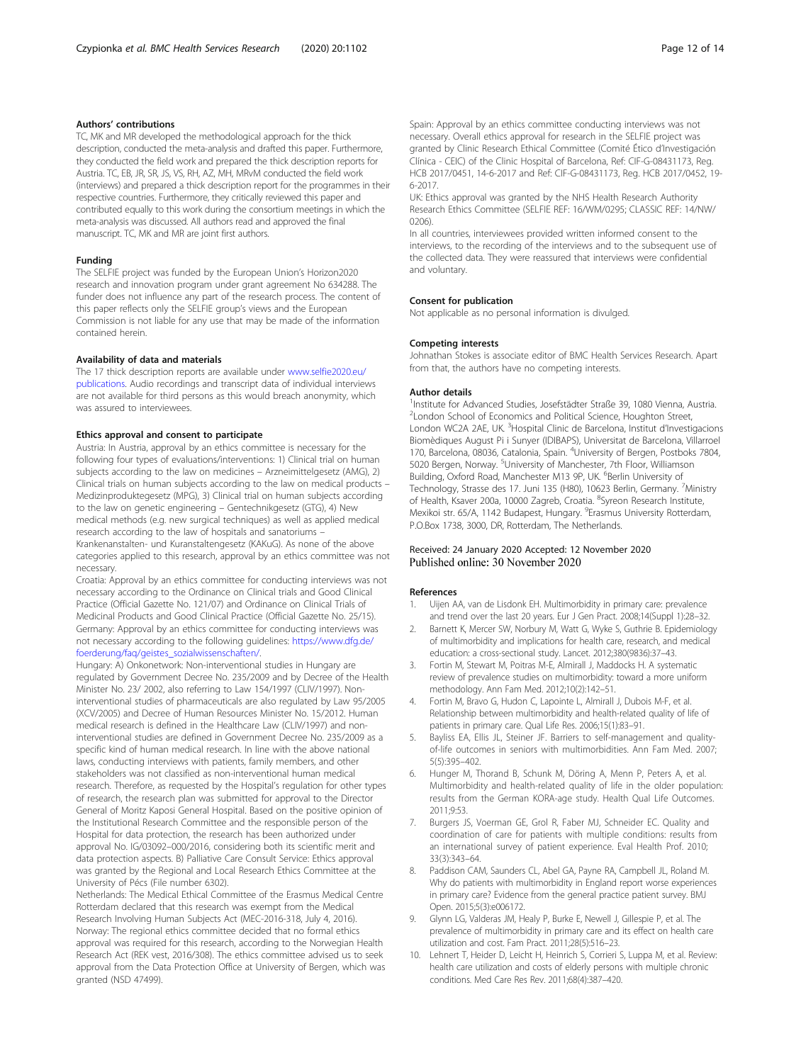#### <span id="page-11-0"></span>Authors' contributions

TC, MK and MR developed the methodological approach for the thick description, conducted the meta-analysis and drafted this paper. Furthermore, they conducted the field work and prepared the thick description reports for Austria. TC, EB, JR, SR, JS, VS, RH, AZ, MH, MRvM conducted the field work (interviews) and prepared a thick description report for the programmes in their respective countries. Furthermore, they critically reviewed this paper and contributed equally to this work during the consortium meetings in which the meta-analysis was discussed. All authors read and approved the final manuscript. TC, MK and MR are joint first authors.

#### Funding

The SELFIE project was funded by the European Union's Horizon2020 research and innovation program under grant agreement No 634288. The funder does not influence any part of the research process. The content of this paper reflects only the SELFIE group's views and the European Commission is not liable for any use that may be made of the information contained herein.

#### Availability of data and materials

The 17 thick description reports are available under [www.selfie2020.eu/](http://www.selfie2020.eu/publications) [publications](http://www.selfie2020.eu/publications). Audio recordings and transcript data of individual interviews are not available for third persons as this would breach anonymity, which was assured to interviewees.

#### Ethics approval and consent to participate

Austria: In Austria, approval by an ethics committee is necessary for the following four types of evaluations/interventions: 1) Clinical trial on human subjects according to the law on medicines – Arzneimittelgesetz (AMG), 2) Clinical trials on human subjects according to the law on medical products – Medizinproduktegesetz (MPG), 3) Clinical trial on human subjects according to the law on genetic engineering – Gentechnikgesetz (GTG), 4) New medical methods (e.g. new surgical techniques) as well as applied medical research according to the law of hospitals and sanatoriums – Krankenanstalten- und Kuranstaltengesetz (KAKuG). As none of the above categories applied to this research, approval by an ethics committee was not necessary.

Croatia: Approval by an ethics committee for conducting interviews was not necessary according to the Ordinance on Clinical trials and Good Clinical Practice (Official Gazette No. 121/07) and Ordinance on Clinical Trials of Medicinal Products and Good Clinical Practice (Official Gazette No. 25/15). Germany: Approval by an ethics committee for conducting interviews was not necessary according to the following guidelines: [https://www.dfg.de/](https://www.dfg.de/foerderung/faq/geistes_sozialwissenschaften/) [foerderung/faq/geistes\\_sozialwissenschaften/](https://www.dfg.de/foerderung/faq/geistes_sozialwissenschaften/).

Hungary: A) Onkonetwork: Non-interventional studies in Hungary are regulated by Government Decree No. 235/2009 and by Decree of the Health Minister No. 23/ 2002, also referring to Law 154/1997 (CLIV/1997). Noninterventional studies of pharmaceuticals are also regulated by Law 95/2005 (XCV/2005) and Decree of Human Resources Minister No. 15/2012. Human medical research is defined in the Healthcare Law (CLIV/1997) and noninterventional studies are defined in Government Decree No. 235/2009 as a specific kind of human medical research. In line with the above national laws, conducting interviews with patients, family members, and other stakeholders was not classified as non-interventional human medical research. Therefore, as requested by the Hospital's regulation for other types of research, the research plan was submitted for approval to the Director General of Moritz Kaposi General Hospital. Based on the positive opinion of the Institutional Research Committee and the responsible person of the Hospital for data protection, the research has been authorized under approval No. IG/03092–000/2016, considering both its scientific merit and data protection aspects. B) Palliative Care Consult Service: Ethics approval was granted by the Regional and Local Research Ethics Committee at the University of Pécs (File number 6302).

Netherlands: The Medical Ethical Committee of the Erasmus Medical Centre Rotterdam declared that this research was exempt from the Medical Research Involving Human Subjects Act (MEC-2016-318, July 4, 2016). Norway: The regional ethics committee decided that no formal ethics approval was required for this research, according to the Norwegian Health Research Act (REK vest, 2016/308). The ethics committee advised us to seek approval from the Data Protection Office at University of Bergen, which was granted (NSD 47499).

Spain: Approval by an ethics committee conducting interviews was not necessary. Overall ethics approval for research in the SELFIE project was granted by Clinic Research Ethical Committee (Comité Ético d'Investigación Clínica - CEIC) of the Clinic Hospital of Barcelona, Ref: CIF-G-08431173, Reg. HCB 2017/0451, 14-6-2017 and Ref: CIF-G-08431173, Reg. HCB 2017/0452, 19- 6-2017.

UK: Ethics approval was granted by the NHS Health Research Authority Research Ethics Committee (SELFIE REF: 16/WM/0295; CLASSIC REF: 14/NW/ 0206).

In all countries, interviewees provided written informed consent to the interviews, to the recording of the interviews and to the subsequent use of the collected data. They were reassured that interviews were confidential and voluntary.

#### Consent for publication

Not applicable as no personal information is divulged.

#### Competing interests

Johnathan Stokes is associate editor of BMC Health Services Research. Apart from that, the authors have no competing interests.

#### Author details

<sup>1</sup>Institute for Advanced Studies, Josefstädter Straße 39, 1080 Vienna, Austria <sup>2</sup> London School of Economics and Political Science, Houghton Street, London WC2A 2AE, UK. <sup>3</sup>Hospital Clinic de Barcelona, Institut d'Investigacions Biomèdiques August Pi i Sunyer (IDIBAPS), Universitat de Barcelona, Villarroel 170, Barcelona, 08036, Catalonia, Spain. <sup>4</sup>University of Bergen, Postboks 7804 5020 Bergen, Norway. <sup>5</sup>University of Manchester, 7th Floor, Williamson Building, Oxford Road, Manchester M13 9P, UK. <sup>6</sup>Berlin University of Technology, Strasse des 17. Juni 135 (H80), 10623 Berlin, Germany. <sup>7</sup>Ministry of Health, Ksaver 200a, 10000 Zagreb, Croatia. <sup>8</sup>Syreon Research Institute, Mexikoi str. 65/A, 1142 Budapest, Hungary. <sup>9</sup> Erasmus University Rotterdam P.O.Box 1738, 3000, DR, Rotterdam, The Netherlands.

#### Received: 24 January 2020 Accepted: 12 November 2020 Published online: 30 November 2020

#### References

- 1. Uijen AA, van de Lisdonk EH. Multimorbidity in primary care: prevalence and trend over the last 20 years. Eur J Gen Pract. 2008;14(Suppl 1):28–32.
- Barnett K, Mercer SW, Norbury M, Watt G, Wyke S, Guthrie B. Epidemiology of multimorbidity and implications for health care, research, and medical education: a cross-sectional study. Lancet. 2012;380(9836):37–43.
- 3. Fortin M, Stewart M, Poitras M-E, Almirall J, Maddocks H. A systematic review of prevalence studies on multimorbidity: toward a more uniform methodology. Ann Fam Med. 2012;10(2):142–51.
- 4. Fortin M, Bravo G, Hudon C, Lapointe L, Almirall J, Dubois M-F, et al. Relationship between multimorbidity and health-related quality of life of patients in primary care. Qual Life Res. 2006;15(1):83–91.
- 5. Bayliss EA, Ellis JL, Steiner JF. Barriers to self-management and qualityof-life outcomes in seniors with multimorbidities. Ann Fam Med. 2007; 5(5):395–402.
- 6. Hunger M, Thorand B, Schunk M, Döring A, Menn P, Peters A, et al. Multimorbidity and health-related quality of life in the older population: results from the German KORA-age study. Health Qual Life Outcomes. 2011;9:53.
- 7. Burgers JS, Voerman GE, Grol R, Faber MJ, Schneider EC. Quality and coordination of care for patients with multiple conditions: results from an international survey of patient experience. Eval Health Prof. 2010; 33(3):343–64.
- Paddison CAM, Saunders CL, Abel GA, Payne RA, Campbell JL, Roland M. Why do patients with multimorbidity in England report worse experiences in primary care? Evidence from the general practice patient survey. BMJ Open. 2015;5(3):e006172.
- 9. Glynn LG, Valderas JM, Healy P, Burke E, Newell J, Gillespie P, et al. The prevalence of multimorbidity in primary care and its effect on health care utilization and cost. Fam Pract. 2011;28(5):516–23.
- 10. Lehnert T, Heider D, Leicht H, Heinrich S, Corrieri S, Luppa M, et al. Review: health care utilization and costs of elderly persons with multiple chronic conditions. Med Care Res Rev. 2011;68(4):387–420.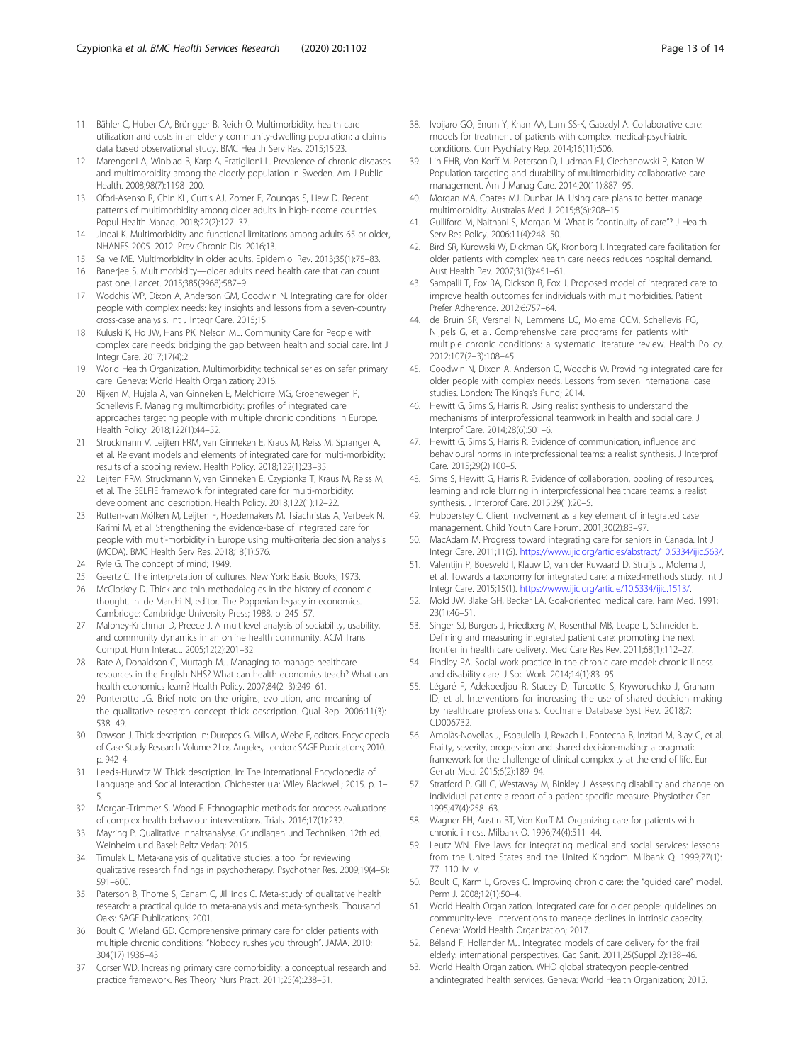- <span id="page-12-0"></span>11. Bähler C, Huber CA, Brüngger B, Reich O. Multimorbidity, health care utilization and costs in an elderly community-dwelling population: a claims data based observational study. BMC Health Serv Res. 2015;15:23.
- 12. Marengoni A, Winblad B, Karp A, Fratiglioni L. Prevalence of chronic diseases and multimorbidity among the elderly population in Sweden. Am J Public Health. 2008;98(7):1198–200.
- 13. Ofori-Asenso R, Chin KL, Curtis AJ, Zomer E, Zoungas S, Liew D. Recent patterns of multimorbidity among older adults in high-income countries. Popul Health Manag. 2018;22(2):127–37.
- 14. Jindai K. Multimorbidity and functional limitations among adults 65 or older, NHANES 2005–2012. Prev Chronic Dis. 2016;13.
- 15. Salive ME. Multimorbidity in older adults. Epidemiol Rev. 2013;35(1):75–83.
- 16. Banerjee S. Multimorbidity—older adults need health care that can count past one. Lancet. 2015;385(9968):587–9.
- 17. Wodchis WP, Dixon A, Anderson GM, Goodwin N. Integrating care for older people with complex needs: key insights and lessons from a seven-country cross-case analysis. Int J Integr Care. 2015;15.
- 18. Kuluski K, Ho JW, Hans PK, Nelson ML. Community Care for People with complex care needs: bridging the gap between health and social care. Int J Integr Care. 2017;17(4):2.
- 19. World Health Organization. Multimorbidity: technical series on safer primary care. Geneva: World Health Organization; 2016.
- 20. Rijken M, Hujala A, van Ginneken E, Melchiorre MG, Groenewegen P, Schellevis F. Managing multimorbidity: profiles of integrated care approaches targeting people with multiple chronic conditions in Europe. Health Policy. 2018;122(1):44–52.
- 21. Struckmann V, Leijten FRM, van Ginneken E, Kraus M, Reiss M, Spranger A, et al. Relevant models and elements of integrated care for multi-morbidity: results of a scoping review. Health Policy. 2018;122(1):23–35.
- 22. Leijten FRM, Struckmann V, van Ginneken E, Czypionka T, Kraus M, Reiss M, et al. The SELFIE framework for integrated care for multi-morbidity: development and description. Health Policy. 2018;122(1):12–22.
- 23. Rutten-van Mölken M, Leijten F, Hoedemakers M, Tsiachristas A, Verbeek N, Karimi M, et al. Strengthening the evidence-base of integrated care for people with multi-morbidity in Europe using multi-criteria decision analysis (MCDA). BMC Health Serv Res. 2018;18(1):576.
- 24. Ryle G. The concept of mind; 1949.
- 25. Geertz C. The interpretation of cultures. New York: Basic Books; 1973.
- 26. McCloskey D. Thick and thin methodologies in the history of economic thought. In: de Marchi N, editor. The Popperian legacy in economics. Cambridge: Cambridge University Press; 1988. p. 245–57.
- 27. Maloney-Krichmar D, Preece J. A multilevel analysis of sociability, usability, and community dynamics in an online health community. ACM Trans Comput Hum Interact. 2005;12(2):201–32.
- 28. Bate A, Donaldson C, Murtagh MJ. Managing to manage healthcare resources in the English NHS? What can health economics teach? What can health economics learn? Health Policy. 2007;84(2–3):249–61.
- 29. Ponterotto JG. Brief note on the origins, evolution, and meaning of the qualitative research concept thick description. Qual Rep. 2006;11(3): 538–49.
- 30. Dawson J. Thick description. In: Durepos G, Mills A, Wiebe E, editors. Encyclopedia of Case Study Research Volume 2.Los Angeles, London: SAGE Publications; 2010. p. 942–4.
- 31. Leeds-Hurwitz W. Thick description. In: The International Encyclopedia of Language and Social Interaction. Chichester u.a: Wiley Blackwell; 2015. p. 1– 5.
- 32. Morgan-Trimmer S, Wood F. Ethnographic methods for process evaluations of complex health behaviour interventions. Trials. 2016;17(1):232.
- 33. Mayring P. Qualitative Inhaltsanalyse. Grundlagen und Techniken. 12th ed. Weinheim und Basel: Beltz Verlag; 2015.
- 34. Timulak L. Meta-analysis of qualitative studies: a tool for reviewing qualitative research findings in psychotherapy. Psychother Res. 2009;19(4–5): 591–600.
- 35. Paterson B, Thorne S, Canam C, Jilliings C. Meta-study of qualitative health research: a practical guide to meta-analysis and meta-synthesis. Thousand Oaks: SAGE Publications; 2001.
- 36. Boult C, Wieland GD. Comprehensive primary care for older patients with multiple chronic conditions: "Nobody rushes you through". JAMA. 2010; 304(17):1936–43.
- 37. Corser WD. Increasing primary care comorbidity: a conceptual research and practice framework. Res Theory Nurs Pract. 2011;25(4):238–51.
- 38. Ivbijaro GO, Enum Y, Khan AA, Lam SS-K, Gabzdyl A. Collaborative care: models for treatment of patients with complex medical-psychiatric conditions. Curr Psychiatry Rep. 2014;16(11):506.
- 39. Lin EHB, Von Korff M, Peterson D, Ludman EJ, Ciechanowski P, Katon W. Population targeting and durability of multimorbidity collaborative care management. Am J Manag Care. 2014;20(11):887–95.
- 40. Morgan MA, Coates MJ, Dunbar JA. Using care plans to better manage multimorbidity. Australas Med J. 2015;8(6):208–15.
- 41. Gulliford M, Naithani S, Morgan M. What is "continuity of care"? J Health Serv Res Policy. 2006;11(4):248–50.
- 42. Bird SR, Kurowski W, Dickman GK, Kronborg I. Integrated care facilitation for older patients with complex health care needs reduces hospital demand. Aust Health Rev. 2007;31(3):451–61.
- 43. Sampalli T, Fox RA, Dickson R, Fox J. Proposed model of integrated care to improve health outcomes for individuals with multimorbidities. Patient Prefer Adherence. 2012;6:757–64.
- 44. de Bruin SR, Versnel N, Lemmens LC, Molema CCM, Schellevis FG, Nijpels G, et al. Comprehensive care programs for patients with multiple chronic conditions: a systematic literature review. Health Policy. 2012;107(2–3):108–45.
- 45. Goodwin N, Dixon A, Anderson G, Wodchis W. Providing integrated care for older people with complex needs. Lessons from seven international case studies. London: The Kings's Fund; 2014.
- 46. Hewitt G, Sims S, Harris R. Using realist synthesis to understand the mechanisms of interprofessional teamwork in health and social care. J Interprof Care. 2014;28(6):501–6.
- 47. Hewitt G, Sims S, Harris R. Evidence of communication, influence and behavioural norms in interprofessional teams: a realist synthesis. J Interprof Care. 2015;29(2):100–5.
- 48. Sims S, Hewitt G, Harris R. Evidence of collaboration, pooling of resources, learning and role blurring in interprofessional healthcare teams: a realist synthesis. J Interprof Care. 2015;29(1):20–5.
- 49. Hubberstey C. Client involvement as a key element of integrated case management. Child Youth Care Forum. 2001;30(2):83–97.
- 50. MacAdam M. Progress toward integrating care for seniors in Canada. Int J Integr Care. 2011;11(5). <https://www.ijic.org/articles/abstract/10.5334/ijic.563/>.
- 51. Valentijn P, Boesveld I, Klauw D, van der Ruwaard D, Struijs J, Molema J, et al. Towards a taxonomy for integrated care: a mixed-methods study. Int J Integr Care. 2015;15(1). <https://www.ijic.org/article/10.5334/ijic.1513/>.
- 52. Mold JW, Blake GH, Becker LA. Goal-oriented medical care. Fam Med. 1991; 23(1):46–51.
- 53. Singer SJ, Burgers J, Friedberg M, Rosenthal MB, Leape L, Schneider E. Defining and measuring integrated patient care: promoting the next frontier in health care delivery. Med Care Res Rev. 2011;68(1):112–27.
- 54. Findley PA. Social work practice in the chronic care model: chronic illness and disability care. J Soc Work. 2014;14(1):83–95.
- 55. Légaré F, Adekpedjou R, Stacey D, Turcotte S, Kryworuchko J, Graham ID, et al. Interventions for increasing the use of shared decision making by healthcare professionals. Cochrane Database Syst Rev. 2018;7: CD006732.
- 56. Amblàs-Novellas J, Espaulella J, Rexach L, Fontecha B, Inzitari M, Blay C, et al. Frailty, severity, progression and shared decision-making: a pragmatic framework for the challenge of clinical complexity at the end of life. Eur Geriatr Med. 2015;6(2):189–94.
- 57. Stratford P, Gill C, Westaway M, Binkley J. Assessing disability and change on individual patients: a report of a patient specific measure. Physiother Can. 1995;47(4):258–63.
- 58. Wagner EH, Austin BT, Von Korff M. Organizing care for patients with chronic illness. Milbank Q. 1996;74(4):511–44.
- 59. Leutz WN. Five laws for integrating medical and social services: lessons from the United States and the United Kingdom. Milbank Q. 1999;77(1): 77–110 iv–v.
- 60. Boult C, Karm L, Groves C. Improving chronic care: the "guided care" model. Perm J. 2008;12(1):50–4.
- 61. World Health Organization. Integrated care for older people: guidelines on community-level interventions to manage declines in intrinsic capacity. Geneva: World Health Organization; 2017.
- 62. Béland F, Hollander MJ. Integrated models of care delivery for the frail elderly: international perspectives. Gac Sanit. 2011;25(Suppl 2):138–46.
- 63. World Health Organization. WHO global strategyon people-centred andintegrated health services. Geneva: World Health Organization; 2015.